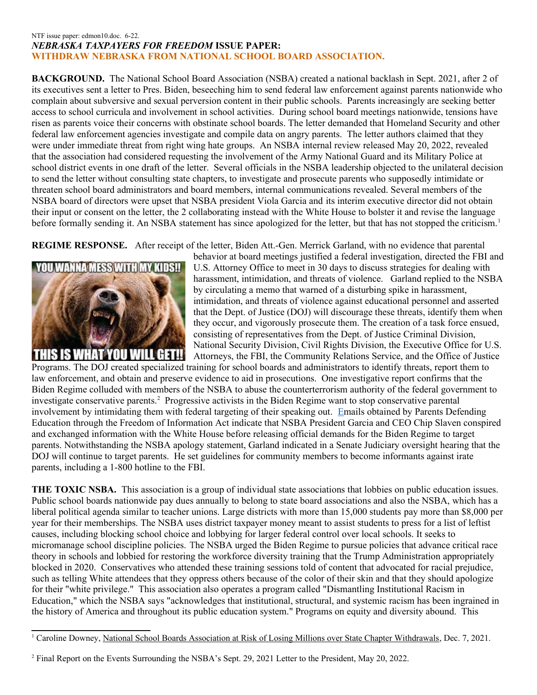## NTF issue paper: edmon10.doc. 6-22. *NEBRASKA TAXPAYERS FOR FREEDOM* **ISSUE PAPER: WITHDRAW NEBRASKA FROM NATIONAL SCHOOL BOARD ASSOCIATION.**

**BACKGROUND.** The National School Board Association (NSBA) created a national backlash in Sept. 2021, after 2 of its executives sent a letter to Pres. Biden, beseeching him to send federal law enforcement against parents nationwide who complain about subversive and sexual perversion content in their public schools. Parents increasingly are seeking better access to school curricula and involvement in school activities. During school board meetings nationwide, tensions have risen as parents voice their concerns with obstinate school boards. The letter demanded that Homeland Security and other federal law enforcement agencies investigate and compile data on angry parents. The letter authors claimed that they were under immediate threat from right wing hate groups. An NSBA [internal review](https://nsba.org/-/media/Files/NSBA-Report.pdf?la=en&hash=A001354D23C9AE88B54D398270C9790D91B01FF9) released May 20, 2022, revealed that the association had considered requesting the involvement of the Army National Guard and its Military Police at school district events in one draft of the letter. Several officials in the NSBA leadership objected to the unilateral decision to send the letter without consulting state chapters, to investigate and prosecute parents who supposedly intimidate or threaten school board administrators and board members, internal communications revealed. Several members of the NSBA board of directors were upset that NSBA president Viola Garcia and its interim executive director did not obtain their input or consent on the letter, the 2 [collaborating](https://www.nationalreview.com/news/memo-confirms-national-school-board-group-actively-engaged-with-white-house-while-drafting-domestic-terrorists-letter/) instead with the White House to bolster it and revise the language before formally sending it. An NSBA statement has since [apologized](https://www.nationalreview.com/news/national-school-boards-association-apologizes-for-letter-comparing-parents-to-terrorists/) for the letter, but that has not stopped the criticism.<sup>[1](#page-0-0)</sup>

**REGIME RESPONSE.** After receipt of the letter, Biden Att.-Gen. Merrick Garland, with no evidence that parental



behavior at board meetings justified a federal investigation, directed the FBI and U.S. Attorney Office to meet in 30 days to discuss strategies for dealing with harassment, intimidation, and threats of violence. Garland replied to the NSBA by circulating a [memo](https://www.justice.gov/ag/page/file/1438986/download) that warned of a disturbing spike in harassment, intimidation, and threats of violence against educational personnel and asserted that the Dept. of Justice (DOJ) will discourage these threats, identify them when they occur, and vigorously prosecute them. The creation of a task force ensued, consisting of representatives from the Dept. of Justice Criminal Division, National Security Division, Civil Rights Division, the Executive Office for U.S. Attorneys, the [FBI,](https://www.newsweek.com/topic/fbi) the Community Relations Service, and the Office of Justice

Programs. The DOJ created specialized training for school boards and administrators to identify threats, report them to law enforcement, and obtain and preserve evidence to aid in prosecutions. One investigative report confirms that the Biden Regime colluded with members of the NSBA to abuse the counterterrorism authority of the federal government to investigate conservative parents.<sup>[2](#page-0-1)</sup> Progressive activists in the Biden Regime want to stop conservative parental involvement by intimidating them with federal targeting of their speaking out. [Emails](https://thefdrlst.wpengine.com/2021/10/21/bidens-white-house-colluded-with-school-boards-association-to-launch-attack-on-parents/) obtained by [Parents Defending](https://defendinged.org/press-releases/foia-documents-reveal-nsba-board-of-directors-not-apprised-of-biden-letter-spoke-to-white-house-before-release/)  [Education](https://defendinged.org/press-releases/foia-documents-reveal-nsba-board-of-directors-not-apprised-of-biden-letter-spoke-to-white-house-before-release/) through the Freedom of Information Act indicate that NSBA President Garcia and CEO Chip Slaven conspired and exchanged information with the White House before releasing official demands for the Biden Regime to target parents. Notwithstanding the NSBA apology statement, Garland indicated in a Senate Judiciary oversight hearing that the DOJ will continue to target parents. He set guidelines for community members to become informants against irate parents, including a 1-800 hotline to the FBI.

**THE TOXIC NSBA.** This association is a group of individual state associations that lobbies on public education issues. Public school boards nationwide pay dues annually to belong to state board associations and also the NSBA, which has a liberal political agenda similar to teacher unions. Large districts with more than 15,000 students [pay more than \\$8,000](https://www.ohioschoolboards.org/national-school-boards-association) per year for their memberships. The NSBA uses district taxpayer money meant to assist students to press for a list of leftist causes, including blocking school choice and lobbying for larger federal control over local schools. It seeks to micromanage school discipline policies. The NSBA urged the Biden Regime to pursue policies that advance critical race theory in schools and lobbied for restoring the workforce diversity training that the Trump Administration appropriately blocked in 2020. Conservatives who attended these training sessions told of content that advocated for racial prejudice, such as telling White attendees that they oppress others because of the color of their skin and that they should apologize for their "white privilege." This association also operates a program called "Dismantling Institutional Racism in Education," which the NSBA says "acknowledges that institutional, structural, and systemic racism has been ingrained in the history of America and throughout its public education system." Programs on equity and diversity abound. This

<span id="page-0-0"></span><sup>&</sup>lt;sup>1</sup> Caroline Downey, National School Boards Association at Risk of Losing Millions over State Chapter Withdrawals, Dec. 7, 2021.

<span id="page-0-1"></span><sup>&</sup>lt;sup>2</sup> Final Report on the Events Surrounding the NSBA's Sept. 29, 2021 Letter to the President, May 20, 2022.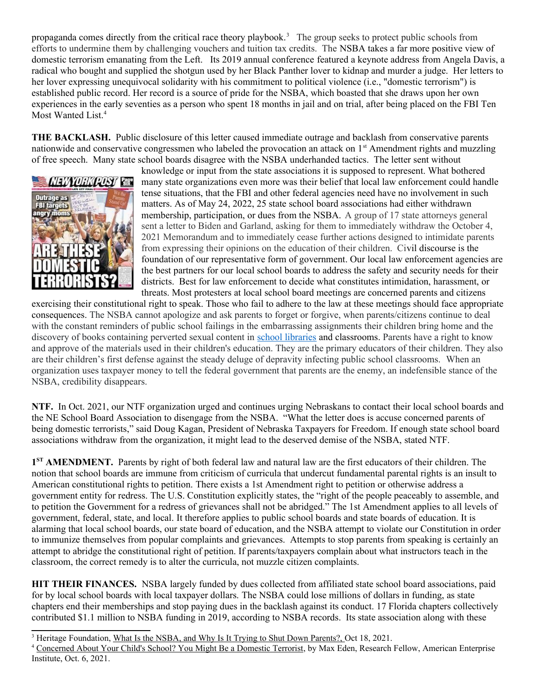propaganda comes directly from the critical race theory playbook.<sup>[3](#page-1-0)</sup> The group seeks to protect public schools from efforts to undermine them by challenging vouchers and tuition tax credits. The NSBA takes a far more positive view of domestic terrorism emanating from the Left. Its 2019 annual conference [featured](https://cdn-files.nsba.org/s3fs-public/NSBA_2019_GUIDE.pdf) a keynote address from Angela Davis, a radical who bought and supplied the shotgun used by her Black Panther lover to kidnap and murder a judge. Her letters to her lover expressing unequivocal solidarity with his commitment to political violence (i.e., "domestic terrorism") is established public record. Her record is a source of pride for the NSBA, which boasted that she draws upon her own experiences in the early seventies as a person who spent 18 months in jail and on trial, after being placed on the FBI Ten Most Wanted List.<sup>[4](#page-1-1)</sup>

**THE BACKLASH.** Public disclosure of this letter caused immediate outrage and backlash from conservative parents nationwide and conservative congressmen who labeled the provocation an attack on 1<sup>st</sup> Amendment rights and muzzling of free speech. Many state school boards disagree with the NSBA underhanded tactics. The letter sent without



knowledge or input from the state associations it is supposed to represent. What bothered many state organizations even more was their belief that local law enforcement could handle tense situations, that the FBI and other federal agencies need have no involvement in such matters. As of May 24, 2022, 25 state school board associations had either withdrawn membership, participation, or dues from the NSBA. A group of 17 state attorneys general sent a letter to Biden and Garland, asking for them to immediately withdraw the October 4, 2021 Memorandum and to immediately cease further actions designed to intimidate parents from expressing their opinions on the education of their children. Civil discourse is the foundation of our representative form of government. Our local law enforcement agencies are the best partners for our local school boards to address the safety and security needs for their districts. Best for law enforcement to decide what constitutes intimidation, harassment, or threats. Most protesters at local school board meetings are concerned parents and citizens

exercising their constitutional right to speak. Those who fail to adhere to the law at these meetings should face appropriate consequences. The NSBA cannot apologize and ask parents to forget or forgive, when parents/citizens continue to deal with the constant reminders of public school failings in the embarrassing assignments their children bring home and the discovery of books containing perverted sexual content in [school libraries](https://www.washingtonexaminer.com/restoring-america/patriotism-unity/a-different-book-battle) and classrooms. Parents have a right to know and approve of the materials used in their children's education. They are the primary educators of their children. They also are their children's first defense against the steady deluge of depravity infecting public school classrooms. When an organization uses taxpayer money to tell the federal government that parents are the enemy, an indefensible stance of the NSBA, credibility disappears.

**NTF.** In Oct. 2021, our NTF organization urged and continues urging Nebraskans to contact their local school boards and the NE School Board Association to disengage from the NSBA. "What the letter does is accuse concerned parents of being domestic terrorists," said Doug Kagan, President of Nebraska Taxpayers for Freedom. If enough state school board associations withdraw from the organization, it might lead to the deserved demise of the NSBA, stated NTF.

1<sup>ST</sup> AMENDMENT. Parents by right of both federal law and natural law are the first educators of their children. The notion that school boards are immune from criticism of curricula that undercut fundamental parental rights is an insult to American constitutional rights to petition. There exists a 1st Amendment right to petition or otherwise address a government entity for redress. The U.S. Constitution explicitly states, the "right of the people peaceably to assemble, and to petition the Government for a redress of grievances shall not be abridged." The 1st Amendment applies to all levels of government, federal, state, and local. It therefore applies to public school boards and state boards of education. It is alarming that local school boards, our state board of education, and the NSBA attempt to violate our Constitution in order to immunize themselves from popular complaints and grievances. Attempts to stop parents from speaking is certainly an attempt to abridge the constitutional right of petition. If parents/taxpayers complain about what instructors teach in the classroom, the correct remedy is to alter the curricula, not muzzle citizen complaints.

**HIT THEIR FINANCES.** NSBA largely funded by dues collected from affiliated state school board associations, paid for by local school boards with local taxpayer dollars. The NSBA could lose millions of dollars in funding, as state chapters end their memberships and stop paying dues in the backlash against its conduct. 17 Florida chapters collectively contributed \$1.1 million to NSBA funding in 2019, according to NSBA records. Its state association along with these

<span id="page-1-0"></span><sup>&</sup>lt;sup>3</sup> Heritage Foundation, What Is the NSBA, and Why Is It Trying to Shut Down Parents?, Oct 18, 2021.

<span id="page-1-1"></span><sup>4</sup> Concerned About Your Child's School? You Might Be a Domestic Terrorist, by Max Eden, Research Fellow, American Enterprise Institute, Oct. 6, 2021.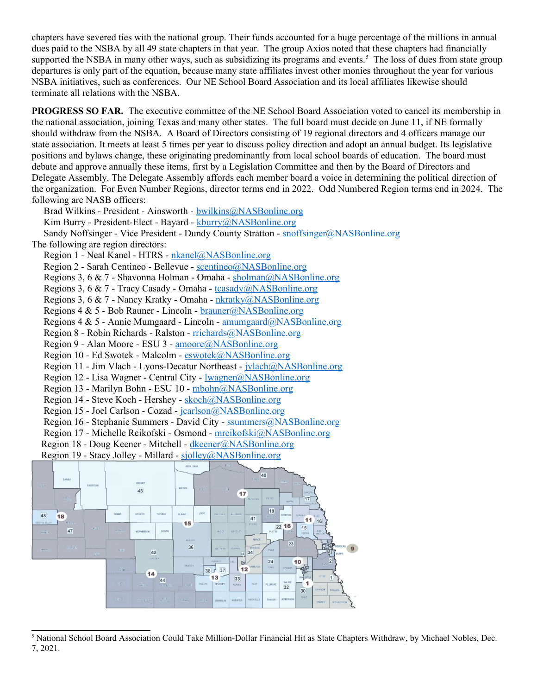chapters have severed ties with the national group. Their funds accounted for a huge percentage of the millions in annual dues paid to the NSBA by all 49 state chapters in that year. The group Axios noted that these chapters had financially supported the NSBA in many other ways, such as subsidizing its programs and events.<sup>[5](#page-2-0)</sup> The loss of dues from state group departures is only part of the equation, because many state affiliates invest other monies throughout the year for various NSBA initiatives, such as conferences. Our NE School Board Association and its local affiliates likewise should terminate all relations with the NSBA.

**PROGRESS SO FAR.** The executive committee of the NE School Board Association voted to cancel its membership in the national association, joining Texas and many other states. The full board must decide on June 11, if NE formally should withdraw from the NSBA. A Board of Directors consisting of 19 regional directors and 4 officers manage our state association. It meets at least 5 times per year to discuss policy direction and adopt an annual budget. Its legislative positions and bylaws change, these originating predominantly from local school boards of education. The board must debate and approve annually these items, first by a Legislation Committee and then by the Board of Directors and Delegate Assembly. The Delegate Assembly affords each member board a voice in determining the political direction of the organization. For Even Number Regions, director terms end in 2022. Odd Numbered Region terms end in 2024. The following are NASB officers:

 Brad Wilkins - President - Ainsworth - [bwilkins@NASBonline.org](mailto:bwilkins@NASBonline.org) Kim Burry - President-Elect - Bayard - [kburry@NASBonline.org](mailto:kburry@NASBonline.org) Sandy Noffsinger - Vice President - Dundy County Stratton - [snoffsinger@NASBonline.org](mailto:snoffsinger@NASBonline.org) The following are region directors:

Region 1 - Neal Kanel - HTRS - [nkanel@NASBonline.org](mailto:nkanel@NASBonline.org)

Region 2 - Sarah Centineo - Bellevue - [scentineo@NASBonline.org](mailto:scentineo@NASBonline.org)

Regions 3, 6 & 7 - Shavonna Holman - Omaha - [sholman@NASBonline.org](mailto:sholman@NASBonline.org)

Regions 3, 6 & 7 - Tracy Casady - Omaha - [tcasady@NASBonline.org](mailto:tcasady@NASBonline.org)

Regions 3, 6 & 7 - Nancy Kratky - Omaha - [nkratky@NASBonline.org](mailto:nkratky@NASBonline.org)

Regions 4 & 5 - Bob Rauner - Lincoln - [brauner@NASBonline.org](mailto:brauner@NASBonline.org)

Regions 4 & 5 - Annie Mumgaard - Lincoln - [amumgaard@NASBonline.org](mailto:amumgaard@NASBonline.org)

Region 8 - Robin Richards - Ralston - [rrichards@NASBonline.org](mailto:rrichards@NASBonline.org)

Region 9 - Alan Moore - ESU 3 - [amoore@NASBonline.org](mailto:amoore@NASBonline.org)

Region 10 - Ed Swotek - Malcolm - [eswotek@NASBonline.org](mailto:eswotek@NASBonline.org)

Region 11 - Jim Vlach - Lyons-Decatur Northeast - [jvlach@NASBonline.org](mailto:jvlach@NASBonline.org)

Region 12 - Lisa Wagner - Central City - [lwagner@NASBonline.org](mailto:lwagner@NASBonline.org)

Region 13 - Marilyn Bohn - ESU 10 - [mbohn@NASBonline.org](mailto:mbohn@NASBonline.org)

Region 14 - Steve Koch - Hershey - [skoch@NASBonline.org](mailto:skoch@NASBonline.org)

Region 15 - Joel Carlson - Cozad - [jcarlson@NASBonline.org](mailto:jcarlson@NASBonline.org)

Region 16 - Stephanie Summers - David City - [ssummers@NASBonline.org](mailto:ssummers@NASBonline.org)

Region 17 - Michelle Reikofski - Osmond - [mreikofski@NASBonline.org](mailto:mreikofski@NASBonline.org)

Region 18 - Doug Keener - Mitchell - [dkeener@NASBonline.org](mailto:dkeener@NASBonline.org)

Region 19 - Stacy Jolley - Millard - [sjolley@NASBonline.org](mailto:sjolley@NASBonline.org)



<span id="page-2-0"></span><sup>&</sup>lt;sup>5</sup> National School Board Association Could Take Million-Dollar Financial Hit as State Chapters Withdraw, by Michael Nobles, Dec. 7, 2021.